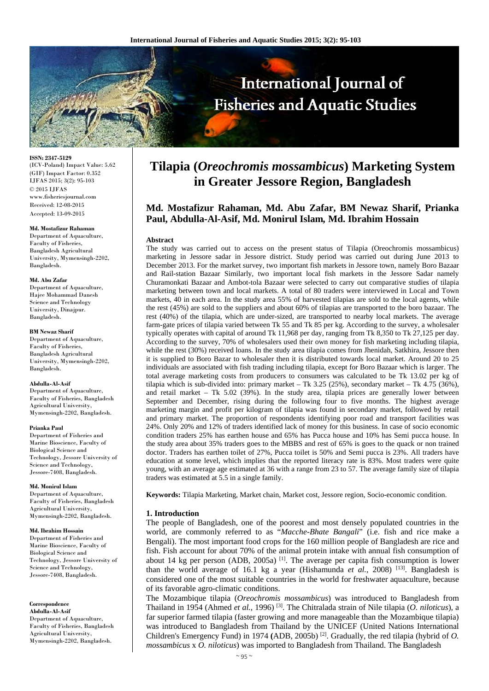

**ISSN: 2347-5129** 

(ICV-Poland) Impact Value: 5.62 (GIF) Impact Factor: 0.352 IJFAS 2015; 3(2): 95-103 © 2015 IJFAS www.fisheriesjournal.com Received: 12-08-2015 Accepted: 13-09-2015

## **Md. Mostafizur Rahaman**

Department of Aquaculture, Faculty of Fisheries, Bangladesh Agricultural University, Mymensingh-2202, Bangladesh.

#### **Md. Abu Zafar**

Department of Aquaculture, Hajee Mohammad Danesh Science and Technology University, Dinajpur. Bangladesh.

#### **BM Newaz Sharif**

Department of Aquaculture, Faculty of Fisheries, Bangladesh Agricultural University, Mymensingh-2202, Bangladesh.

#### **Abdulla-Al-Asif**

Department of Aquaculture, Faculty of Fisheries, Bangladesh Agricultural University, Mymensingh-2202, Bangladesh.

#### **Prianka Paul**

Department of Fisheries and Marine Bioscience, Faculty of Biological Science and Technology, Jessore University of Science and Technology, Jessore-7408, Bangladesh.

#### **Md. Monirul Islam**

Department of Aquaculture, Faculty of Fisheries, Bangladesh Agricultural University, Mymensingh-2202, Bangladesh.

#### **Md. Ibrahim Hossain**

Department of Fisheries and Marine Bioscience, Faculty of Biological Science and Technology, Jessore University of Science and Technology, Jessore-7408, Bangladesh.

#### **Correspondence Abdulla-Al-Asif**

Department of Aquaculture, Faculty of Fisheries, Bangladesh Agricultural University, Mymensingh-2202, Bangladesh.

# **Tilapia (***Oreochromis mossambicus***) Marketing System in Greater Jessore Region, Bangladesh**

# **Md. Mostafizur Rahaman, Md. Abu Zafar, BM Newaz Sharif, Prianka Paul, Abdulla-Al-Asif, Md. Monirul Islam***,* **Md. Ibrahim Hossain**

#### **Abstract**

The study was carried out to access on the present status of Tilapia (Oreochromis mossambicus) marketing in Jessore sadar in Jessore district. Study period was carried out during June 2013 to December 2013. For the market survey, two important fish markets in Jessore town, namely Boro Bazaar and Rail-station Bazaar Similarly, two important local fish markets in the Jessore Sadar namely Churamonkati Bazaar and Ambot-tola Bazaar were selected to carry out comparative studies of tilapia marketing between town and local markets. A total of 80 traders were interviewed in Local and Town markets, 40 in each area. In the study area 55% of harvested tilapias are sold to the local agents, while the rest (45%) are sold to the suppliers and about 60% of tilapias are transported to the boro bazaar. The rest (40%) of the tilapia, which are under-sized, are transported to nearby local markets. The average farm-gate prices of tilapia varied between Tk 55 and Tk 85 per kg. According to the survey, a wholesaler typically operates with capital of around Tk 11,968 per day, ranging from Tk 8,350 to Tk 27,125 per day. According to the survey, 70% of wholesalers used their own money for fish marketing including tilapia, while the rest (30%) received loans. In the study area tilapia comes from Jhenidah, Satkhira, Jessore then it is supplied to Boro Bazar to wholesaler then it is distributed towards local market. Around 20 to 25 individuals are associated with fish trading including tilapia, except for Boro Bazaar which is larger. The total average marketing costs from producers to consumers was calculated to be Tk 13.02 per kg of tilapia which is sub-divided into: primary market – Tk 3.25 (25%), secondary market – Tk 4.75 (36%), and retail market – Tk 5.02 (39%). In the study area, tilapia prices are generally lower between September and December, rising during the following four to five months. The highest average marketing margin and profit per kilogram of tilapia was found in secondary market, followed by retail and primary market. The proportion of respondents identifying poor road and transport facilities was 24%. Only 20% and 12% of traders identified lack of money for this business. In case of socio economic condition traders 25% has earthen house and 65% has Pucca house and 10% has Semi pucca house. In the study area about 35% traders goes to the MBBS and rest of 65% is goes to the quack or non trained doctor. Traders has earthen toilet of 27%, Pucca toilet is 50% and Semi pucca is 23%. All traders have education at some level, which implies that the reported literacy rate is 83%. Most traders were quite young, with an average age estimated at 36 with a range from 23 to 57. The average family size of tilapia traders was estimated at 5.5 in a single family.

**Keywords:** Tilapia Marketing, Market chain, Market cost, Jessore region, Socio-economic condition.

# **1. Introduction**

The people of Bangladesh, one of the poorest and most densely populated countries in the world, are commonly referred to as "*Macche-Bhate Bangali*" (i.e. fish and rice make a Bengali). The most important food crops for the 160 million people of Bangladesh are rice and fish. Fish account for about 70% of the animal protein intake with annual fish consumption of about 14 kg per person (ADB, 2005a)<sup>[1]</sup>. The average per capita fish consumption is lower than the world average of 16.1 kg a year (Hishamunda *et al.*, 2008)<sup>[13]</sup>. Bangladesh is considered one of the most suitable countries in the world for freshwater aquaculture, because of its favorable agro-climatic conditions.

The Mozambique tilapia (*Oreochromis mossambicus*) was introduced to Bangladesh from Thailand in 1954 (Ahmed *et al.*, 1996) [3]. The Chitralada strain of Nile tilapia (*O. niloticus*), a far superior farmed tilapia (faster growing and more manageable than the Mozambique tilapia) was introduced to Bangladesh from Thailand by the UNICEF (United Nations International Children's Emergency Fund) in 1974 **(**ADB, 2005b) [2]. Gradually, the red tilapia (hybrid of *O. mossambicus* x *O. niloticus*) was imported to Bangladesh from Thailand. The Bangladesh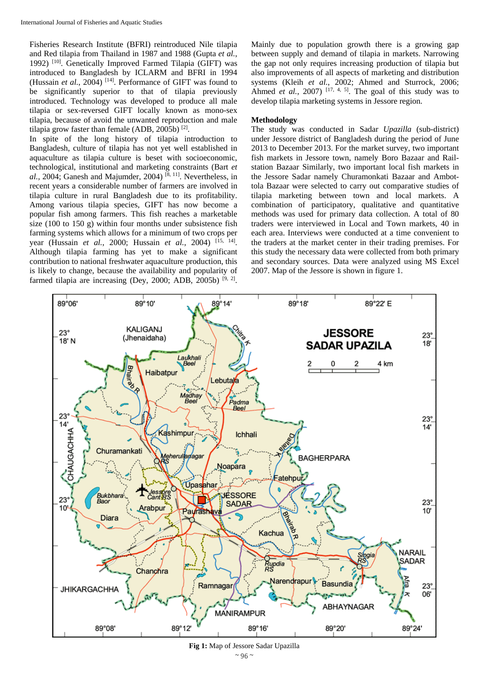Fisheries Research Institute (BFRI) reintroduced Nile tilapia and Red tilapia from Thailand in 1987 and 1988 (Gupta *et al.*, 1992) [10]. Genetically Improved Farmed Tilapia (GIFT) was introduced to Bangladesh by ICLARM and BFRI in 1994 (Hussain *et al.*, 2004) [14]. Performance of GIFT was found to be significantly superior to that of tilapia previously introduced. Technology was developed to produce all male tilapia or sex-reversed GIFT locally known as mono-sex tilapia, because of avoid the unwanted reproduction and male tilapia grow faster than female (ADB, 2005b) [2].

In spite of the long history of tilapia introduction to Bangladesh, culture of tilapia has not yet well established in aquaculture as tilapia culture is beset with socioeconomic, technological, institutional and marketing constraints (Bart *et*   $al.$ , 2004; Ganesh and Majumder, 2004)<sup>[8, 11]</sup>. Nevertheless, in recent years a considerable number of farmers are involved in tilapia culture in rural Bangladesh due to its profitability. Among various tilapia species, GIFT has now become a popular fish among farmers. This fish reaches a marketable size (100 to 150 g) within four months under subsistence fish farming systems which allows for a minimum of two crops per year (Hussain *et al.*, 2000; Hussain *et al.*, 2004) [15, 14]. Although tilapia farming has yet to make a significant contribution to national freshwater aquaculture production, this is likely to change, because the availability and popularity of farmed tilapia are increasing (Dey, 2000; ADB, 2005b)<sup>[9, 2]</sup>.

Mainly due to population growth there is a growing gap between supply and demand of tilapia in markets. Narrowing the gap not only requires increasing production of tilapia but also improvements of all aspects of marketing and distribution systems (Kleih *et al.*, 2002; Ahmed and Sturrock, 2006; Ahmed *et al.*, 2007)  $[17, 4, 5]$ . The goal of this study was to develop tilapia marketing systems in Jessore region.

# **Methodology**

The study was conducted in Sadar *Upazilla* (sub-district) under Jessore district of Bangladesh during the period of June 2013 to December 2013. For the market survey, two important fish markets in Jessore town, namely Boro Bazaar and Railstation Bazaar Similarly, two important local fish markets in the Jessore Sadar namely Churamonkati Bazaar and Ambottola Bazaar were selected to carry out comparative studies of tilapia marketing between town and local markets. A combination of participatory, qualitative and quantitative methods was used for primary data collection. A total of 80 traders were interviewed in Local and Town markets, 40 in each area. Interviews were conducted at a time convenient to the traders at the market center in their trading premises. For this study the necessary data were collected from both primary and secondary sources. Data were analyzed using MS Excel 2007. Map of the Jessore is shown in figure 1.



 $~\sim$  96  $~\sim$ **Fig 1:** Map of Jessore Sadar Upazilla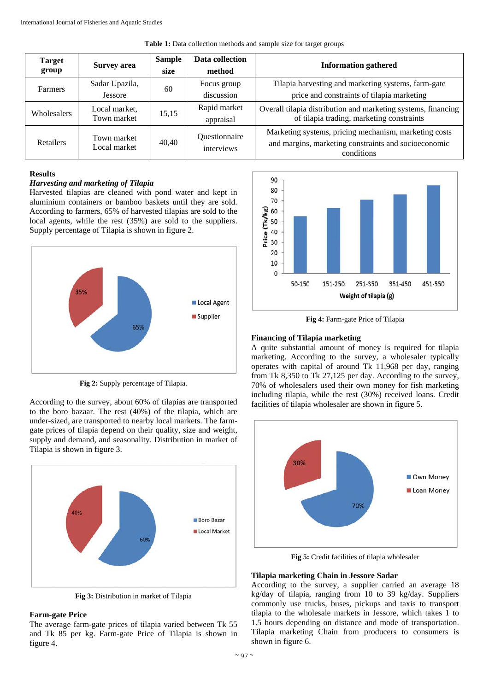| <b>Target</b><br>group | <b>Survey area</b>           | <b>Sample</b><br>size | Data collection<br>method   | <b>Information gathered</b>                                                                                                 |
|------------------------|------------------------------|-----------------------|-----------------------------|-----------------------------------------------------------------------------------------------------------------------------|
| Farmers                | Sadar Upazila,<br>Jessore    | 60                    | Focus group<br>discussion   | Tilapia harvesting and marketing systems, farm-gate<br>price and constraints of tilapia marketing                           |
| <b>Wholesalers</b>     | Local market,<br>Town market | 15,15                 | Rapid market<br>appraisal   | Overall tilapia distribution and marketing systems, financing<br>of tilapia trading, marketing constraints                  |
| Retailers              | Town market<br>Local market  | 40,40                 | Questionnaire<br>interviews | Marketing systems, pricing mechanism, marketing costs<br>and margins, marketing constraints and socioeconomic<br>conditions |

**Table 1:** Data collection methods and sample size for target groups

# **Results**

# *Harvesting and marketing of Tilapia*

Harvested tilapias are cleaned with pond water and kept in aluminium containers or bamboo baskets until they are sold. According to farmers, 65% of harvested tilapias are sold to the local agents, while the rest (35%) are sold to the suppliers. Supply percentage of Tilapia is shown in figure 2.



**Fig 2:** Supply percentage of Tilapia.

According to the survey, about 60% of tilapias are transported to the boro bazaar. The rest (40%) of the tilapia, which are under-sized, are transported to nearby local markets. The farmgate prices of tilapia depend on their quality, size and weight, supply and demand, and seasonality. Distribution in market of Tilapia is shown in figure 3.



**Fig 3:** Distribution in market of Tilapia

# **Farm-gate Price**

The average farm-gate prices of tilapia varied between Tk 55 and Tk 85 per kg. Farm-gate Price of Tilapia is shown in figure 4.



**Fig 4:** Farm-gate Price of Tilapia

# **Financing of Tilapia marketing**

A quite substantial amount of money is required for tilapia marketing. According to the survey, a wholesaler typically operates with capital of around Tk 11,968 per day, ranging from Tk 8,350 to Tk 27,125 per day. According to the survey, 70% of wholesalers used their own money for fish marketing including tilapia, while the rest (30%) received loans. Credit facilities of tilapia wholesaler are shown in figure 5.



**Fig 5:** Credit facilities of tilapia wholesaler

## **Tilapia marketing Chain in Jessore Sadar**

According to the survey, a supplier carried an average 18 kg/day of tilapia, ranging from 10 to 39 kg/day. Suppliers commonly use trucks, buses, pickups and taxis to transport tilapia to the wholesale markets in Jessore, which takes 1 to 1.5 hours depending on distance and mode of transportation. Tilapia marketing Chain from producers to consumers is shown in figure 6.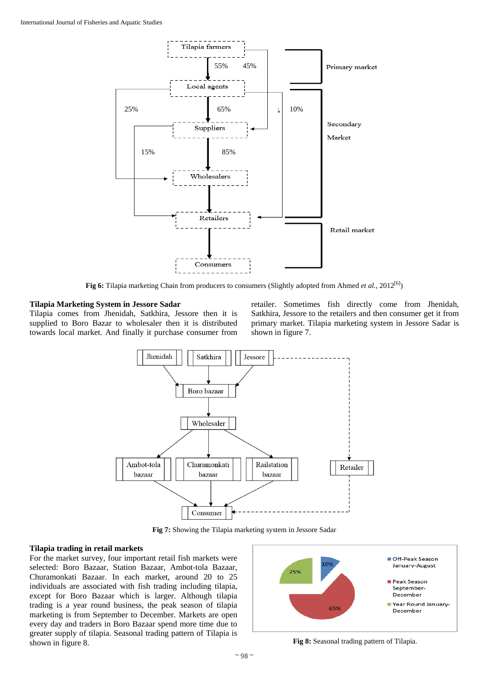

**Fig 6:** Tilapia marketing Chain from producers to consumers (Slightly adopted from Ahmed *et al.,* 2012<sup>[6]</sup>)

# **Tilapia Marketing System in Jessore Sadar**

Tilapia comes from Jhenidah, Satkhira, Jessore then it is supplied to Boro Bazar to wholesaler then it is distributed towards local market. And finally it purchase consumer from retailer. Sometimes fish directly come from Jhenidah, Satkhira, Jessore to the retailers and then consumer get it from primary market. Tilapia marketing system in Jessore Sadar is shown in figure 7.



**Fig 7:** Showing the Tilapia marketing system in Jessore Sadar

# **Tilapia trading in retail markets**

For the market survey, four important retail fish markets were selected: Boro Bazaar, Station Bazaar, Ambot-tola Bazaar, Churamonkati Bazaar. In each market, around 20 to 25 individuals are associated with fish trading including tilapia, except for Boro Bazaar which is larger. Although tilapia trading is a year round business, the peak season of tilapia marketing is from September to December. Markets are open every day and traders in Boro Bazaar spend more time due to greater supply of tilapia. Seasonal trading pattern of Tilapia is shown in figure 8. **Fig 8:** Seasonal trading pattern of Tilapia.

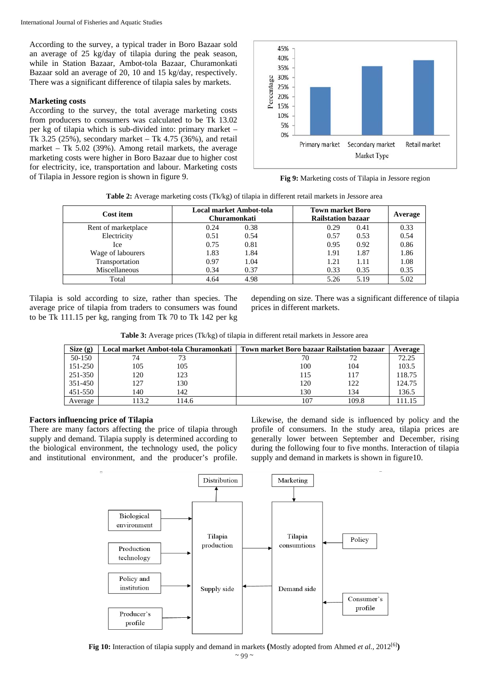According to the survey, a typical trader in Boro Bazaar sold an average of 25 kg/day of tilapia during the peak season, while in Station Bazaar, Ambot-tola Bazaar, Churamonkati Bazaar sold an average of 20, 10 and 15 kg/day, respectively. There was a significant difference of tilapia sales by markets.

# **Marketing costs**

According to the survey, the total average marketing costs from producers to consumers was calculated to be Tk 13.02 per kg of tilapia which is sub-divided into: primary market – Tk 3.25 (25%), secondary market – Tk 4.75 (36%), and retail market – Tk 5.02 (39%). Among retail markets, the average marketing costs were higher in Boro Bazaar due to higher cost for electricity, ice, transportation and labour. Marketing costs of Tilapia in Jessore region is shown in figure 9. **Fig 9:** Marketing costs of Tilapia in Jessore region



| Cost item           | <b>Local market Ambot-tola</b><br><b>Churamonkati</b> | <b>Town market Boro</b><br><b>Railstation bazaar</b> | Average |
|---------------------|-------------------------------------------------------|------------------------------------------------------|---------|
| Rent of marketplace | 0.24<br>0.38                                          | 0.29<br>0.41                                         | 0.33    |
| Electricity         | 0.54<br>0.51                                          | 0.57<br>0.53                                         | 0.54    |
| <b>Ice</b>          | 0.81<br>0.75                                          | 0.92<br>0.95                                         | 0.86    |
| Wage of labourers   | 1.83<br>1.84                                          | 1.87<br>1.91                                         | 1.86    |
| Transportation      | 0.97<br>1.04                                          | 1.21<br>1.11                                         | 1.08    |
| Miscellaneous       | 0.34<br>0.37                                          | 0.33<br>0.35                                         | 0.35    |
| Total               | 4.98<br>4.64                                          | 5.19<br>5.26                                         | 5.02    |

Tilapia is sold according to size, rather than species. The average price of tilapia from traders to consumers was found to be Tk 111.15 per kg, ranging from Tk 70 to Tk 142 per kg depending on size. There was a significant difference of tilapia prices in different markets.

**Table 3:** Average prices (Tk/kg) of tilapia in different retail markets in Jessore area

| Size(g) | Local market Ambot-tola Churamonkati |       | Town market Boro bazaar Railstation bazaar | Average |        |
|---------|--------------------------------------|-------|--------------------------------------------|---------|--------|
| 50-150  | 74                                   | 73    | 70                                         |         | 72.25  |
| 151-250 | 105                                  | 105   | 100                                        | 104     | 103.5  |
| 251-350 | 120                                  | 123   | 115                                        | 117     | 118.75 |
| 351-450 | 127                                  | 130   | 120                                        | 122     | 124.75 |
| 451-550 | 140                                  | 142   | 130                                        | 134     | 136.5  |
| Average | 13.2                                 | 114.6 | 107                                        | 109.8   |        |

# **Factors influencing price of Tilapia**

There are many factors affecting the price of tilapia through supply and demand. Tilapia supply is determined according to the biological environment, the technology used, the policy and institutional environment, and the producer's profile.

Likewise, the demand side is influenced by policy and the profile of consumers. In the study area, tilapia prices are generally lower between September and December, rising during the following four to five months. Interaction of tilapia supply and demand in markets is shown in figure10.



**Fig 10:** Interaction of tilapia supply and demand in markets **(**Mostly adopted from Ahmed *et al.,* 2012[6]**)**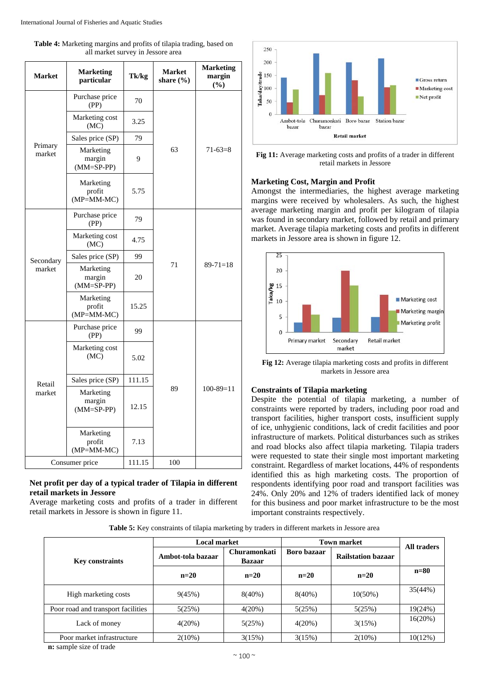| <b>Table 4:</b> Marketing margins and profits of tilapia trading, based on |                                   |  |  |
|----------------------------------------------------------------------------|-----------------------------------|--|--|
|                                                                            | all market survey in Jessore area |  |  |

| <b>Market</b>     | <b>Marketing</b><br>particular          | Tk/kg  | <b>Market</b><br>share $(\% )$ | <b>Marketing</b><br>margin<br>(%) |  |
|-------------------|-----------------------------------------|--------|--------------------------------|-----------------------------------|--|
|                   | Purchase price<br>(PP)                  | 70     |                                |                                   |  |
|                   | Marketing cost<br>(MC)                  | 3.25   |                                |                                   |  |
|                   | Sales price (SP)                        | 79     |                                | $71-63=8$                         |  |
| Primary<br>market | Marketing<br>margin<br>$(MM = SP - PP)$ | 9      | 63                             |                                   |  |
|                   | Marketing<br>profit<br>$(MP=MM-MC)$     | 5.75   |                                |                                   |  |
|                   | Purchase price<br>(PP)                  | 79     |                                |                                   |  |
|                   | Marketing cost<br>(MC)                  | 4.75   |                                | $89 - 71 = 18$                    |  |
| Secondary         | Sales price (SP)                        | 99     |                                |                                   |  |
| market            | Marketing<br>margin<br>$(MM = SP - PP)$ | 20     | 71                             |                                   |  |
|                   | Marketing<br>profit<br>$(MP=MM-MC)$     | 15.25  |                                |                                   |  |
|                   | Purchase price<br>(PP)                  | 99     |                                |                                   |  |
| Retail<br>market  | Marketing cost<br>(MC)                  | 5.02   |                                |                                   |  |
|                   | Sales price (SP)                        | 111.15 |                                |                                   |  |
|                   | Marketing<br>margin<br>$(MM=SP-PP)$     | 12.15  | 89                             | $100 - 89 = 11$                   |  |
|                   | Marketing<br>profit<br>$(MP=MM-MC)$     | 7.13   |                                |                                   |  |
| Consumer price    |                                         | 111.15 | 100                            |                                   |  |

# **Net profit per day of a typical trader of Tilapia in different retail markets in Jessore**

Average marketing costs and profits of a trader in different retail markets in Jessore is shown in figure 11.



**Fig 11:** Average marketing costs and profits of a trader in different retail markets in Jessore

## **Marketing Cost, Margin and Profit**

Amongst the intermediaries, the highest average marketing margins were received by wholesalers. As such, the highest average marketing margin and profit per kilogram of tilapia was found in secondary market, followed by retail and primary market. Average tilapia marketing costs and profits in different markets in Jessore area is shown in figure 12.



**Fig 12:** Average tilapia marketing costs and profits in different markets in Jessore area

# **Constraints of Tilapia marketing**

Despite the potential of tilapia marketing, a number of constraints were reported by traders, including poor road and transport facilities, higher transport costs, insufficient supply of ice, unhygienic conditions, lack of credit facilities and poor infrastructure of markets. Political disturbances such as strikes and road blocks also affect tilapia marketing. Tilapia traders were requested to state their single most important marketing constraint. Regardless of market locations, 44% of respondents identified this as high marketing costs. The proportion of respondents identifying poor road and transport facilities was 24%. Only 20% and 12% of traders identified lack of money for this business and poor market infrastructure to be the most important constraints respectively.

|  | Table 5: Key constraints of tilapia marketing by traders in different markets in Jessore area |
|--|-----------------------------------------------------------------------------------------------|
|--|-----------------------------------------------------------------------------------------------|

|                                    | <b>Local market</b> |                               | <b>Town market</b> |                           | <b>All traders</b> |
|------------------------------------|---------------------|-------------------------------|--------------------|---------------------------|--------------------|
| <b>Key constraints</b>             | Ambot-tola bazaar   | Churamonkati<br><b>Bazaar</b> | Boro bazaar        | <b>Railstation bazaar</b> |                    |
|                                    | $n=20$              | $n=20$                        | $n=20$             | $n=20$                    | $n=80$             |
| High marketing costs               | 9(45%)              | $8(40\%)$                     | $8(40\%)$          | $10(50\%)$                | 35(44%)            |
| Poor road and transport facilities | 5(25%)              | $4(20\%)$                     | 5(25%)             | 5(25%)                    | 19(24%)            |
| Lack of money                      | 4(20%)              | 5(25%)                        | 4(20%)             | 3(15%)                    | 16(20%)            |
| Poor market infrastructure         | $2(10\%)$           | 3(15%)                        | 3(15%)             | $2(10\%)$                 | $10(12\%)$         |

**n:** sample size of trade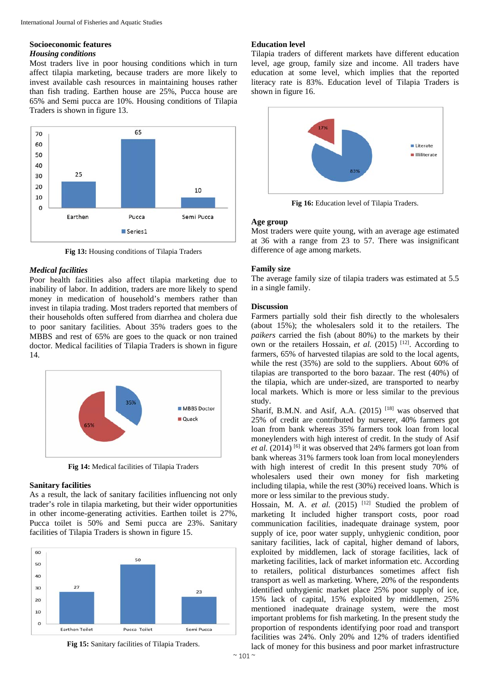# **Socioeconomic features**

# *Housing conditions*

Most traders live in poor housing conditions which in turn affect tilapia marketing, because traders are more likely to invest available cash resources in maintaining houses rather than fish trading. Earthen house are 25%, Pucca house are 65% and Semi pucca are 10%. Housing conditions of Tilapia Traders is shown in figure 13.



**Fig 13:** Housing conditions of Tilapia Traders

## *Medical facilities*

Poor health facilities also affect tilapia marketing due to inability of labor. In addition, traders are more likely to spend money in medication of household's members rather than invest in tilapia trading. Most traders reported that members of their households often suffered from diarrhea and cholera due to poor sanitary facilities. About 35% traders goes to the MBBS and rest of 65% are goes to the quack or non trained doctor. Medical facilities of Tilapia Traders is shown in figure 14.



**Fig 14:** Medical facilities of Tilapia Traders

## **Sanitary facilities**

As a result, the lack of sanitary facilities influencing not only trader's role in tilapia marketing, but their wider opportunities in other income-generating activities. Earthen toilet is 27%, Pucca toilet is 50% and Semi pucca are 23%. Sanitary facilities of Tilapia Traders is shown in figure 15.



**Fig 15:** Sanitary facilities of Tilapia Traders.

# **Education level**

Tilapia traders of different markets have different education level, age group, family size and income. All traders have education at some level, which implies that the reported literacy rate is 83%. Education level of Tilapia Traders is shown in figure 16.



**Fig 16:** Education level of Tilapia Traders.

## **Age group**

Most traders were quite young, with an average age estimated at 36 with a range from 23 to 57. There was insignificant difference of age among markets.

#### **Family size**

The average family size of tilapia traders was estimated at 5.5 in a single family.

## **Discussion**

Farmers partially sold their fish directly to the wholesalers (about 15%); the wholesalers sold it to the retailers. The *paikers* carried the fish (about 80%) to the markets by their own or the retailers Hossain, *et al.* (2015) <sup>[12]</sup>. According to farmers, 65% of harvested tilapias are sold to the local agents, while the rest (35%) are sold to the suppliers. About 60% of tilapias are transported to the boro bazaar. The rest (40%) of the tilapia, which are under-sized, are transported to nearby local markets. Which is more or less similar to the previous study.

Sharif, B.M.N. and Asif, A.A.  $(2015)$ <sup>[18]</sup> was observed that 25% of credit are contributed by nurserer, 40% farmers got loan from bank whereas 35% farmers took loan from local moneylenders with high interest of credit. In the study of Asif *et al.* (2014) <sup>[6]</sup> it was observed that 24% farmers got loan from bank whereas 31% farmers took loan from local moneylenders with high interest of credit In this present study 70% of wholesalers used their own money for fish marketing including tilapia, while the rest (30%) received loans. Which is more or less similar to the previous study.

Hossain, M. A. *et al.* (2015) <sup>[12]</sup> Studied the problem of marketing It included higher transport costs, poor road communication facilities, inadequate drainage system, poor supply of ice, poor water supply, unhygienic condition, poor sanitary facilities, lack of capital, higher demand of labors, exploited by middlemen, lack of storage facilities, lack of marketing facilities, lack of market information etc. According to retailers, political disturbances sometimes affect fish transport as well as marketing. Where, 20% of the respondents identified unhygienic market place 25% poor supply of ice, 15% lack of capital, 15% exploited by middlemen, 25% mentioned inadequate drainage system, were the most important problems for fish marketing. In the present study the proportion of respondents identifying poor road and transport facilities was 24%. Only 20% and 12% of traders identified lack of money for this business and poor market infrastructure